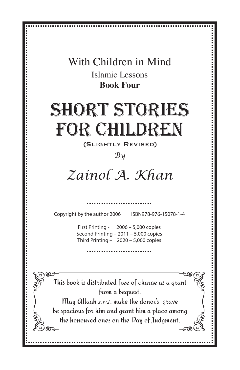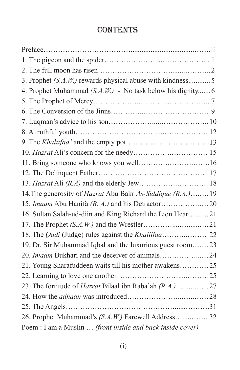### **CONTENTS**

| 3. Prophet (S.A.W.) rewards physical abuse with kindness 5                |  |
|---------------------------------------------------------------------------|--|
| 4. Prophet Muhammad $(S.A.W.)$ - No task below his dignity 6              |  |
|                                                                           |  |
|                                                                           |  |
|                                                                           |  |
|                                                                           |  |
|                                                                           |  |
|                                                                           |  |
|                                                                           |  |
|                                                                           |  |
|                                                                           |  |
| 14. The generosity of <i>Hazrat</i> Abu Bakr <i>As-Siddique (R.A.)</i> 19 |  |
|                                                                           |  |
| 16. Sultan Salah-ud-diin and King Richard the Lion Heart21                |  |
|                                                                           |  |
|                                                                           |  |
| 19. Dr. Sir Muhammad Iqbal and the luxurious guest room23                 |  |
|                                                                           |  |
|                                                                           |  |
|                                                                           |  |
|                                                                           |  |
|                                                                           |  |
|                                                                           |  |
| 26. Prophet Muhammad's (S.A.W.) Farewell Address 32                       |  |
| Poem : I am a Muslin  (front inside and back inside cover)                |  |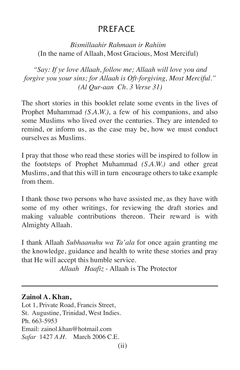### PREFACE

### *Bismillaahir Rahmaan ir Rahiim* (In the name of Allaah, Most Gracious, Most Merciful)

*"Say: If ye love Allaah, follow me; Allaah will love you and forgive you your sins; for Allaah is Oft-forgiving, Most Merciful." (Al Qur-aan Ch. 3 Verse 31)*

The short stories in this booklet relate some events in the lives of Prophet Muhammad *(S.A.W.)*, a few of his companions, and also some Muslims who lived over the centuries. They are intended to remind, or inform us, as the case may be, how we must conduct ourselves as Muslims.

I pray that those who read these stories will be inspired to follow in the footsteps of Prophet Muhammad *(S.A.W.)* and other great Muslims, and that this will in turn encourage others to take example from them.

I thank those two persons who have assisted me, as they have with some of my other writings, for reviewing the draft stories and making valuable contributions thereon. Their reward is with Almighty Allaah.

I thank Allaah *Subhaanuhu wa Ta'ala* for once again granting me the knowledge, guidance and health to write these stories and pray that He will accept this humble service.

*Allaah Haafiz* - Allaah is The Protector

### **Zainol A. Khan,**

Lot 1, Private Road, Francis Street, St. Augustine, Trinidad, West Indies. Ph. 663-5953 Email: zainol.khan@hotmail.com *Safar* 1427 *A.H.* March 2006 C.E.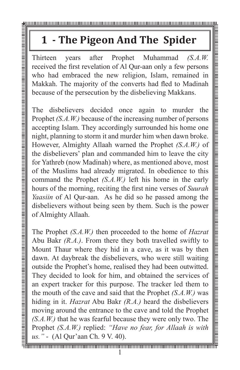# **1 - The Pigeon And The Spider**

received the first revelation of Al Qur-aan only a few persons who had embraced the new religion, Islam, remained in Makkah. The majority of the converts had fled to Madinah because of the persecution by the disbelieving Makkans.

The **Prophet CALC** This consists and the state of the state of the state of the multiple and the state of the prophet Muhammad of SA.W. received the first revelation of Al Quraan only a few persons who had emboraced the n disbelievers decided once again to murder the Prophet *(S.A.W.)* because of the increasing number of persons accepting Islam. They accordingly surrounded his home one night, planning to storm it and murder him when dawn broke. However, Almighty Allaah warned the Prophet *(S.A.W.)* of the disbelievers' plan and commanded him to leave the city for Yathreb (now Madinah) where, as mentioned above, most of the Muslims had already migrated. In obedience to this command the Prophet *(S.A.W.)* left his home in the early hours of the morning, reciting the first nine verses of *Suurah Yaasiin* of Al Qur-aan. As he did so he passed among the disbelievers without being seen by them. Such is the power of Almighty Allaah.

The Prophet *(S.A.W.)* then proceeded to the home of *Hazrat* Abu Bakr *(R.A.)*. From there they both travelled swiftly to Mount Thaur where they hid in a cave, as it was by then dawn. At daybreak the disbelievers, who were still waiting outside the Prophet's home, realised they had been outwitted. They decided to look for him, and obtained the services of an expert tracker for this purpose. The tracker led them to the mouth of the cave and said that the Prophet *(S.A.W.)* was hiding in it. *Hazrat* Abu Bakr *(R.A.)* heard the disbelievers moving around the entrance to the cave and told the Prophet *(S.A.W.)* that he was fearful because they were only two. The Prophet *(S.A.W.)* replied: *"Have no fear, for Allaah is with us."* - (Al Qur'aan Ch. 9 V. 40).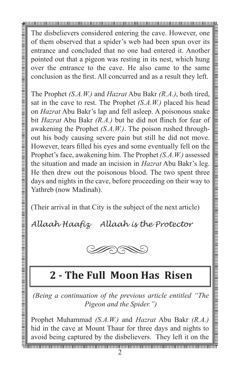The disbelievers considered entering the cave. However, one of them observed that a spider's web had been spun over its entrance and concluded that no one had entered it. Another pointed out that a pigeon was resting in its nest, which hung over the entrance to the cave. He also came to the same conclusion as the first. All concurred and as a result they left.

The Prophet *(S.A.W.)* and *Hazrat* Abu Bakr *(R.A.)*, both tired, sat in the cave to rest. The Prophet *(S.A.W.)* placed his head on *Hazrat* Abu Bakr's lap and fell asleep. A poisonous snake bit *Hazrat* Abu Bakr *(R.A.)* but he did not flinch for fear of awakening the Prophet *(S.A.W.)*. The poison rushed throughout his body causing severe pain but still he did not move. However, tears filled his eyes and some eventually fell on the Prophet's face, awakening him. The Prophet *(S.A.W.)* assessed the situation and made an incision in *Hazrat* Abu Bakr's leg. He then drew out the poisonous blood. The two spent three days and nights in the cave, before proceeding on their way to Yathreb (now Madinah).

(Their arrival in that City is the subject of the next article)

*Allaah Haafiz Allaah is the Protector*



### **2 - The Full Moon Has Risen**

*(Being a continuation of the previous article entitled "The Pigeon and the Spider.")*

Prophet Muhammad *(S.A.W.)* and *Hazrat* Abu Bakr *(R.A.)*  hid in the cave at Mount Thaur for three days and nights to avoid being captured by the disbelievers. They left it on the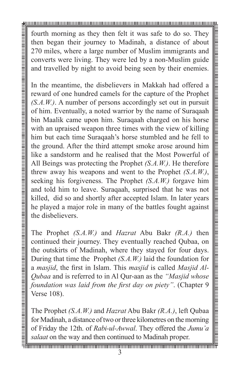fourth morning as they then felt it was safe to do so. They then began their journey to Madinah, a distance of about 270 miles, where a large number of Muslim immigrants and converts were living. They were led by a non-Muslim guide and travelled by night to avoid being seen by their enemies.

In the meantime, the disbelievers in Makkah had offered a reward of one hundred camels for the capture of the Prophet *(S.A.W.)*. A number of persons accordingly set out in pursuit of him. Eventually, a noted warrior by the name of Suraqaah bin Maalik came upon him. Suraqaah charged on his horse with an upraised weapon three times with the view of killing him but each time Suraqaah's horse stumbled and he fell to the ground. After the third attempt smoke arose around him like a sandstorm and he realised that the Most Powerful of All Beings was protecting the Prophet *(S.A.W.)*. He therefore threw away his weapons and went to the Prophet *(S.A.W.)*, seeking his forgiveness. The Prophet *(S.A.W.)* forgave him and told him to leave. Suraqaah, surprised that he was not killed, did so and shortly after accepted Islam. In later years he played a major role in many of the battles fought against the disbelievers.

The Prophet *(S.A.W.)* and *Hazrat* Abu Bakr *(R.A.)* then continued their journey. They eventually reached Qubaa, on the outskirts of Madinah, where they stayed for four days. During that time the Prophet *(S.A.W.)* laid the foundation for a *masjid*, the first in Islam. This *masjid* is called *Masjid Al-Qubaa* and is referred to in Al Qur-aan as the *"Masjid whose foundation was laid from the first day on piety"*. (Chapter 9 Verse 108).

The Prophet *(S.A.W.)* and *Hazrat* Abu Bakr *(R.A.)*, left Qubaa for Madinah, a distance of two or three kilometres on the morning of Friday the 12th. of *Rabi-ul-Awwal*. They offered the *Jumu'a salaat* on the way and then continued to Madinah proper.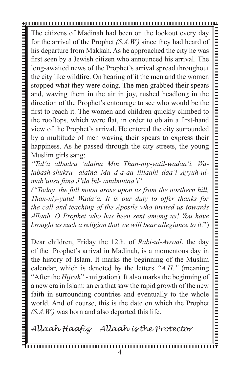The citizens of Madinah had been on the lookout every day for the arrival of the Prophet *(S.A.W.)* since they had heard of his departure from Makkah. As he approached the city he was first seen by a Jewish citizen who announced his arrival. The long-awaited news of the Prophet's arrival spread throughout the city like wildfire. On hearing of it the men and the women stopped what they were doing. The men grabbed their spears and, waving them in the air in joy, rushed headlong in the direction of the Prophet's entourage to see who would be the first to reach it. The women and children quickly climbed to the rooftops, which were flat, in order to obtain a first-hand view of the Prophet's arrival. He entered the city surrounded by a multitude of men waving their spears to express their happiness. As he passed through the city streets, the young Muslim girls sang:

*"Tal'a albadru 'alaina Min Than-niy-yatil-wadaa'i. Wajabash-shukru 'alaina Ma d'a-aa lillaahi daa'i Ayyuh-ulmab'uusu fiina J'ila bil- amilmutaa'i*"

*("Today, the full moon arose upon us from the northern hill, Than-niy-yatul Wada'a. It is our duty to offer thanks for the call and teaching of the Apostle who invited us towards Allaah. O Prophet who has been sent among us! You have brought us such a religion that we will bear allegiance to it.*")

Dear children, Friday the 12th. of *Rabi-ul-Awwal*, the day of the Prophet's arrival in Madinah, is a momentous day in the history of Islam. It marks the beginning of the Muslim calendar, which is denoted by the letters *"A.H."* (meaning "After the *Hijrah*" - migration). It also marks the beginning of a new era in Islam: an era that saw the rapid growth of the new faith in surrounding countries and eventually to the whole world. And of course, this is the date on which the Prophet *(S.A.W.)* was born and also departed this life.

*Allaah Haafiz Allaah is the Protector*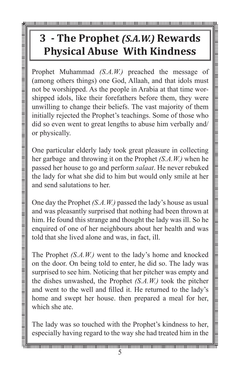# **3 - The Prophet** *(S.A.W.)* **Rewards Physical Abuse With Kindness**

Prophet Muhammad *(S.A.W.)* preached the message of (among others things) one God, Allaah, and that idols must not be worshipped. As the people in Arabia at that time worshipped idols, like their forefathers before them, they were unwilling to change their beliefs. The vast majority of them initially rejected the Prophet's teachings. Some of those who did so even went to great lengths to abuse him verbally and/ or physically.

One particular elderly lady took great pleasure in collecting her garbage and throwing it on the Prophet *(S.A.W.)* when he passed her house to go and perform *salaat*. He never rebuked the lady for what she did to him but would only smile at her and send salutations to her.

One day the Prophet *(S.A.W.)* passed the lady's house as usual and was pleasantly surprised that nothing had been thrown at him. He found this strange and thought the lady was ill. So he enquired of one of her neighbours about her health and was told that she lived alone and was, in fact, ill.

The Prophet *(S.A.W.)* went to the lady's home and knocked on the door. On being told to enter, he did so. The lady was surprised to see him. Noticing that her pitcher was empty and the dishes unwashed, the Prophet *(S.A.W.)* took the pitcher and went to the well and filled it. He returned to the lady's home and swept her house. then prepared a meal for her, which she ate.

The lady was so touched with the Prophet's kindness to her, especially having regard to the way she had treated him in the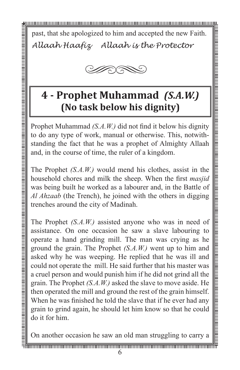past, that she apologized to him and accepted the new Faith. *Allaah Haafiz Allaah is the Protector*



### **4 - Prophet Muhammad** *(S.A.W.)* **(No task below his dignity)**

Prophet Muhammad *(S.A.W.)* did not find it below his dignity to do any type of work, manual or otherwise. This, notwithstanding the fact that he was a prophet of Almighty Allaah and, in the course of time, the ruler of a kingdom.

The Prophet *(S.A.W.)* would mend his clothes, assist in the household chores and milk the sheep. When the first *masjid*  was being built he worked as a labourer and, in the Battle of *Al Ahzaab* (the Trench), he joined with the others in digging trenches around the city of Madinah.

The Prophet *(S.A.W.)* assisted anyone who was in need of assistance. On one occasion he saw a slave labouring to operate a hand grinding mill. The man was crying as he ground the grain. The Prophet *(S.A.W.)* went up to him and asked why he was weeping. He replied that he was ill and could not operate the mill. He said further that his master was a cruel person and would punish him if he did not grind all the grain. The Prophet *(S.A.W.)* asked the slave to move aside. He then operated the mill and ground the rest of the grain himself. When he was finished he told the slave that if he ever had any grain to grind again, he should let him know so that he could do it for him.

On another occasion he saw an old man struggling to carry a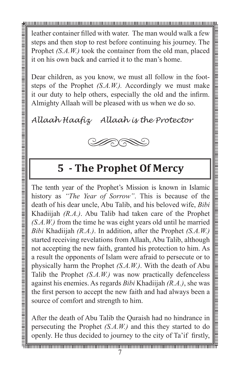leather container filled with water. The man would walk a few steps and then stop to rest before continuing his journey. The Prophet *(S.A.W.)* took the container from the old man, placed it on his own back and carried it to the man's home.

Dear children, as you know, we must all follow in the footsteps of the Prophet *(S.A.W.).* Accordingly we must make it our duty to help others, especially the old and the infirm. Almighty Allaah will be pleased with us when we do so.

*Allaah Haafiz Allaah is the Protector*



### **5 - The Prophet Of Mercy**

The tenth year of the Prophet's Mission is known in Islamic history as *"The Year of Sorrow"*. This is because of the death of his dear uncle, Abu Talib, and his beloved wife, *Bibi* Khadiijah *(R.A.)*. Abu Talib had taken care of the Prophet *(S.A.W.)* from the time he was eight years old until he married *Bibi* Khadiijah *(R.A.)*. In addition, after the Prophet *(S.A.W.)*  started receiving revelations from Allaah, Abu Talib, although not accepting the new faith, granted his protection to him. As a result the opponents of Islam were afraid to persecute or to physically harm the Prophet *(S.A.W.)*. With the death of Abu Talib the Prophet *(S.A.W.)* was now practically defenceless against his enemies. As regards *Bibi* Khadiijah *(R.A.)*, she was the first person to accept the new faith and had always been a source of comfort and strength to him.

After the death of Abu Talib the Quraish had no hindrance in persecuting the Prophet *(S.A.W.)* and this they started to do openly. He thus decided to journey to the city of Ta'if firstly,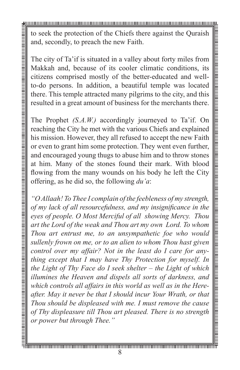to seek the protection of the Chiefs there against the Quraish and, secondly, to preach the new Faith.

The city of Ta'if is situated in a valley about forty miles from Makkah and, because of its cooler climatic conditions, its citizens comprised mostly of the better-educated and wellto-do persons. In addition, a beautiful temple was located there. This temple attracted many pilgrims to the city, and this resulted in a great amount of business for the merchants there.

The Prophet *(S.A.W.)* accordingly journeyed to Ta'if. On reaching the City he met with the various Chiefs and explained his mission. However, they all refused to accept the new Faith or even to grant him some protection. They went even further, and encouraged young thugs to abuse him and to throw stones at him. Many of the stones found their mark. With blood flowing from the many wounds on his body he left the City offering, as he did so, the following *du'a*:

*"O Allaah! To Thee I complain of the feebleness of my strength, of my lack of all resourcefulness, and my insignificance in the eyes of people. O Most Merciful of all showing Mercy. Thou art the Lord of the weak and Thou art my own Lord. To whom Thou art entrust me, to an unsympathetic foe who would sullenly frown on me, or to an alien to whom Thou hast given control over my affair? Not in the least do I care for anything except that I may have Thy Protection for myself. In the Light of Thy Face do I seek shelter – the Light of which illumines the Heaven and dispels all sorts of darkness, and which controls all affairs in this world as well as in the Hereafter. May it never be that I should incur Your Wrath, or that Thou should be displeased with me. I must remove the cause of Thy displeasure till Thou art pleased. There is no strength or power but through Thee."*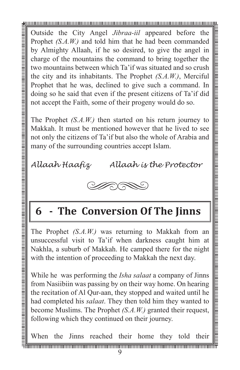Outside the City Angel *Jibraa-iil* appeared before the Prophet *(S.A.W.)* and told him that he had been commanded by Almighty Allaah, if he so desired, to give the angel in charge of the mountains the command to bring together the two mountains between which Ta'if was situated and so crush the city and its inhabitants. The Prophet *(S.A.W.)*, Merciful Prophet that he was, declined to give such a command. In doing so he said that even if the present citizens of Ta'if did not accept the Faith, some of their progeny would do so.

The Prophet *(S.A.W.)* then started on his return journey to Makkah. It must be mentioned however that he lived to see not only the citizens of Ta'if but also the whole of Arabia and many of the surrounding countries accept Islam.

*Allaah Haafiz Allaah is the Protector*



# **6 - The Conversion Of The Jinns**

The Prophet *(S.A.W.)* was returning to Makkah from an unsuccessful visit to Ta'if when darkness caught him at Nakhla, a suburb of Makkah. He camped there for the night with the intention of proceeding to Makkah the next day.

While he was performing the *Isha salaat* a company of Jinns from Nasiibiin was passing by on their way home. On hearing the recitation of Al Qur-aan, they stopped and waited until he had completed his *salaat*. They then told him they wanted to become Muslims. The Prophet *(S.A.W.)* granted their request, following which they continued on their journey.

When the Jinns reached their home they told their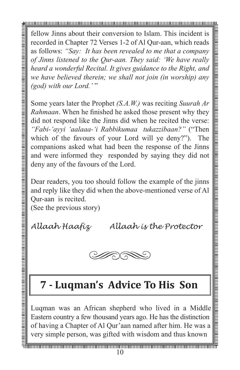fellow Jinns about their conversion to Islam. This incident is recorded in Chapter 72 Verses 1-2 of Al Qur-aan, which reads as follows: *"Say: It has been revealed to me that a company of Jinns listened to the Qur-aan. They said: 'We have really heard a wonderful Recital. It gives guidance to the Right, and we have believed therein; we shall not join (in worship) any (god) with our Lord.'* "

Some years later the Prophet *(S.A.W.)* was reciting *Suurah Ar Rahmaan*. When he finished he asked those present why they did not respond like the Jinns did when he recited the verse: *"Fabi-'ayyi 'aalaaa-'i Rabbikumaa tukazzibaan?"* ("Then which of the favours of your Lord will ye deny?"). The companions asked what had been the response of the Jinns and were informed they responded by saying they did not deny any of the favours of the Lord.

Dear readers, you too should follow the example of the jinns and reply like they did when the above-mentioned verse of Al Qur-aan is recited.

(See the previous story)

*Allaah Haafiz Allaah is the Protector*



### **7 - Luqman's Advice To His Son**

Luqman was an African shepherd who lived in a Middle Eastern country a few thousand years ago. He has the distinction of having a Chapter of Al Qur'aan named after him. He was a very simple person, was gifted with wisdom and thus known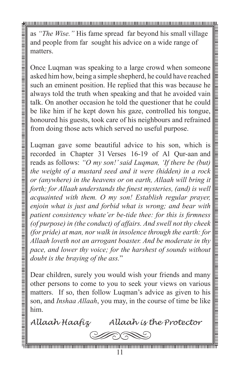as *"The Wise."* His fame spread far beyond his small village and people from far sought his advice on a wide range of matters.

Once Luqman was speaking to a large crowd when someone asked him how, being a simple shepherd, he could have reached such an eminent position. He replied that this was because he always told the truth when speaking and that he avoided vain talk. On another occasion he told the questioner that he could be like him if he kept down his gaze, controlled his tongue, honoured his guests, took care of his neighbours and refrained from doing those acts which served no useful purpose.

Luqman gave some beautiful advice to his son, which is recorded in Chapter 31 Verses 16-19 of Al Qur-aan and reads as follows: *"O my son!' said Luqman, 'If there be (but) the weight of a mustard seed and it were (hidden) in a rock or (anywhere) in the heavens or on earth, Allaah will bring it forth; for Allaah understands the finest mysteries, (and) is well acquainted with them. O my son! Establish regular prayer, enjoin what is just and forbid what is wrong; and bear with patient consistency whate'er be-tide thee: for this is firmness (of purpose) in (the conduct) of affairs. And swell not thy cheek (for pride) at man, nor walk in insolence through the earth: for Allaah loveth not an arrogant boaster. And be moderate in thy pace, and lower thy voice; for the harshest of sounds without doubt is the braying of the ass.*"

Dear children, surely you would wish your friends and many other persons to come to you to seek your views on various matters. If so, then follow Luqman's advice as given to his son, and *Inshaa Allaah*, you may, in the course of time be like him.

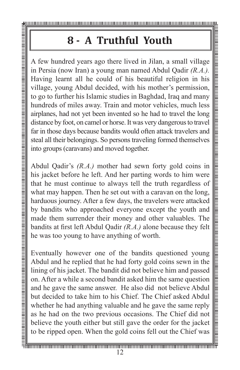**8 - A Truthful Youth**<br>
A few hundred years ago there lived in Jilan, a infersion (now Iran) a young man named Abdul using learnt all the could of his beautiful red living learnt all the could of his beautiful red in guida **A Find 10 A Find II Youth**<br>
A few hundred years ago there lived in Jilan, a small village in Persia (now Iran) a young mean named Abdul Qadir  $(R.A.)$ <br>
Having learnt all he could of his beautiful religion in his village, in Persia (now Iran) a young man named Abdul Qadir *(R.A.).*  Having learnt all he could of his beautiful religion in his village, young Abdul decided, with his mother's permission, to go to further his Islamic studies in Baghdad, Iraq and many hundreds of miles away. Train and motor vehicles, much less airplanes, had not yet been invented so he had to travel the long distance by foot, on camel or horse. It was very dangerous to travel far in those days because bandits would often attack travelers and steal all their belongings. So persons traveling formed themselves into groups (caravans) and moved together.

Abdul Qadir's *(R.A.)* mother had sewn forty gold coins in his jacket before he left. And her parting words to him were that he must continue to always tell the truth regardless of what may happen. Then he set out with a caravan on the long, harduous journey. After a few days, the travelers were attacked by bandits who approached everyone except the youth and made them surrender their money and other valuables. The bandits at first left Abdul Qadir *(R.A.)* alone because they felt he was too young to have anything of worth.

Eventually however one of the bandits questioned young Abdul and he replied that he had forty gold coins sewn in the lining of his jacket. The bandit did not believe him and passed on. After a while a second bandit asked him the same question and he gave the same answer. He also did not believe Abdul but decided to take him to his Chief. The Chief asked Abdul whether he had anything valuable and he gave the same reply as he had on the two previous occasions. The Chief did not believe the youth either but still gave the order for the jacket to be ripped open. When the gold coins fell out the Chief was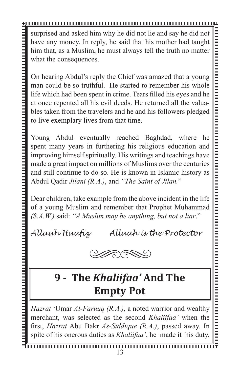surprised and asked him why he did not lie and say he did not have any money. In reply, he said that his mother had taught him that, as a Muslim, he must always tell the truth no matter what the consequences.

On hearing Abdul's reply the Chief was amazed that a young man could be so truthful. He started to remember his whole life which had been spent in crime. Tears filled his eyes and he at once repented all his evil deeds. He returned all the valuables taken from the travelers and he and his followers pledged to live exemplary lives from that time.

Young Abdul eventually reached Baghdad, where he spent many years in furthering his religious education and improving himself spiritually. His writings and teachings have made a great impact on millions of Muslims over the centuries and still continue to do so. He is known in Islamic history as Abdul Qadir *Jilani (R.A.)*, and *"The Saint of Jilan.*"

Dear children, take example from the above incident in the life of a young Muslim and remember that Prophet Muhammad *(S.A.W.)* said: *"A Muslim may be anything, but not a liar*."

*Allaah Haafiz Allaah is the Protector*



## **9 - The** *Khaliifaa'* **And The Empty Pot**

*Hazrat* 'Umar *Al-Faruuq (R.A.)*, a noted warrior and wealthy merchant, was selected as the second *Khaliifaa'* when the first, *Hazrat* Abu Bakr *As-Siddique (R.A.)*, passed away. In spite of his onerous duties as *Khaliifaa'*, he made it his duty,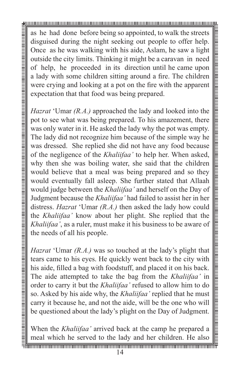as he had done before being so appointed, to walk the streets disguised during the night seeking out people to offer help. Once as he was walking with his aide, Aslam, he saw a light outside the city limits. Thinking it might be a caravan in need of help, he proceeded in its direction until he came upon a lady with some children sitting around a fire. The children were crying and looking at a pot on the fire with the apparent expectation that that food was being prepared.

*Hazrat* 'Umar *(R.A.)* approached the lady and looked into the pot to see what was being prepared. To his amazement, there was only water in it. He asked the lady why the pot was empty. The lady did not recognize him because of the simple way he was dressed. She replied she did not have any food because of the negligence of the *Khaliifaa'* to help her. When asked, why then she was boiling water, she said that the children would believe that a meal was being prepared and so they would eventually fall asleep. She further stated that Allaah would judge between the *Khaliifaa'* and herself on the Day of Judgment because the *Khaliifaa'* had failed to assist her in her distress. *Hazrat* 'Umar *(R.A.)* then asked the lady how could the *Khaliifaa'* know about her plight. She replied that the *Khaliifaa'*, as a ruler, must make it his business to be aware of the needs of all his people.

*Hazrat* 'Umar *(R.A.)* was so touched at the lady's plight that tears came to his eyes. He quickly went back to the city with his aide, filled a bag with foodstuff, and placed it on his back. The aide attempted to take the bag from the *Khaliifaa'* in order to carry it but the *Khaliifaa'* refused to allow him to do so. Asked by his aide why, the *Khaliifaa'* replied that he must carry it because he, and not the aide, will be the one who will be questioned about the lady's plight on the Day of Judgment.

When the *Khaliifaa'* arrived back at the camp he prepared a meal which he served to the lady and her children. He also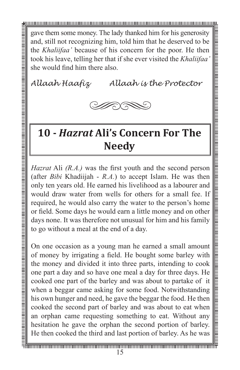gave them some money. The lady thanked him for his generosity and, still not recognizing him, told him that he deserved to be the *Khaliifaa'* because of his concern for the poor. He then took his leave, telling her that if she ever visited the *Khaliifaa'*  she would find him there also.

*Allaah Haafiz Allaah is the Protector*



### **10 -** *Hazrat* **Ali's Concern For The Needy**

*Hazrat* Ali *(R.A.)* was the first youth and the second person (after *Bibi* Khadiijah - *R.A.*) to accept Islam. He was then only ten years old. He earned his livelihood as a labourer and would draw water from wells for others for a small fee. If required, he would also carry the water to the person's home or field. Some days he would earn a little money and on other days none. It was therefore not unusual for him and his family to go without a meal at the end of a day.

On one occasion as a young man he earned a small amount of money by irrigating a field. He bought some barley with the money and divided it into three parts, intending to cook one part a day and so have one meal a day for three days. He cooked one part of the barley and was about to partake of it when a beggar came asking for some food. Notwithstanding his own hunger and need, he gave the beggar the food. He then cooked the second part of barley and was about to eat when an orphan came requesting something to eat. Without any hesitation he gave the orphan the second portion of barley. He then cooked the third and last portion of barley. As he was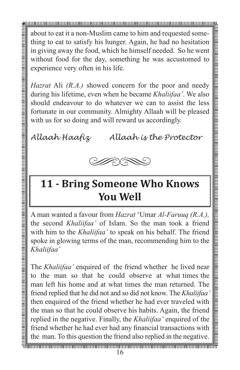about to eat it a non-Muslim came to him and requested something to eat to satisfy his hunger. Again, he had no hesitation in giving away the food, which he himself needed. So he went without food for the day, something he was accustomed to experience very often in his life.

*Hazrat* Ali *(R.A.)* showed concern for the poor and needy during his lifetime, even when he became *Khaliifaa'*. We also should endeavour to do whatever we can to assist the less fortunate in our community. Almighty Allaah will be pleased with us for so doing and will reward us accordingly.

*Allaah Haafiz Allaah is the Protector*



### **11 - Bring Someone Who Knows You Well**

A man wanted a favour from *Hazrat* 'Umar *Al-Faruuq (R.A.),*  the second *Khaliifaa'* of Islam. So the man took a friend with him to the *Khaliifaa'* to speak on his behalf. The friend spoke in glowing terms of the man, recommending him to the *Khaliifaa'*

The *Khaliifaa'* enquired of the friend whether he lived near to the man so that he could observe at what times the man left his home and at what times the man returned. The friend replied that he did not and so did not know. The *Khaliifaa'*  then enquired of the friend whether he had ever traveled with the man so that he could observe his habits. Again, the friend replied in the negative. Finally, the *Khaliifaa'* enquired of the friend whether he had ever had any financial transactions with the man. To this question the friend also replied in the negative.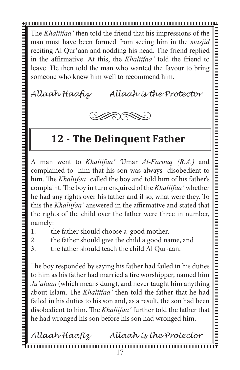The *Khaliifaa'* then told the friend that his impressions of the man must have been formed from seeing him in the *masjid* reciting Al Qur'aan and nodding his head. The friend replied in the affirmative. At this, the *Khaliifaa'* told the friend to leave. He then told the man who wanted the favour to bring someone who knew him well to recommend him.

*Allaah Haafiz Allaah is the Protector*



### **12 - The Delinquent Father**

A man went to *Khaliifaa'* 'Umar *Al-Faruuq (R.A.)* and complained to him that his son was always disobedient to him. The *Khaliifaa'* called the boy and told him of his father's complaint. The boy in turn enquired of the *Khaliifaa'* whether he had any rights over his father and if so, what were they. To this the *Khaliifaa'* answered in the affirmative and stated that the rights of the child over the father were three in number, namely:

- 1. the father should choose a good mother,
- 2. the father should give the child a good name, and
- 3. the father should teach the child Al Qur-aan.

The boy responded by saying his father had failed in his duties to him as his father had married a fire worshipper, named him *Ju'alaan* (which means dung), and never taught him anything about Islam. The *Khaliifaa'* then told the father that he had failed in his duties to his son and, as a result, the son had been disobedient to him. The *Khaliifaa'* further told the father that he had wronged his son before his son had wronged him.

*Allaah Haafiz Allaah is the Protector*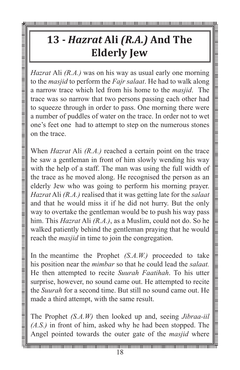# **13 -** *Hazrat* **Ali** *(R.A.)* **And The Elderly Jew**

to the *masjid* to perform the *Fajr salaat*. He had to walk along a narrow trace which led from his home to the *masjid*. The trace was so narrow that two persons passing each other had to squeeze through in order to pass. One morning there were a number of puddles of water on the trace. In order not to wet one's feet one had to attempt to step on the numerous stones on the trace.

**Hazrat Ali** *(R.A.)* **And The**<br> **Elderly Jew**<br> *Hazrat Ali (R.A.)* was on his way as usual carly one morning to the *masjid* to perfonm the *Fay salaca*. He had to walk along the to make the *Hay salaca*. He had to walk al When *Hazrat* Ali *(R.A.)* reached a certain point on the trace he saw a gentleman in front of him slowly wending his way with the help of a staff. The man was using the full width of the trace as he moved along. He recognised the person as an elderly Jew who was going to perform his morning prayer. *Hazrat* Ali *(R.A.)* realised that it was getting late for the *salaat*  and that he would miss it if he did not hurry. But the only way to overtake the gentleman would be to push his way pass him. This *Hazrat* Ali *(R.A.)*, as a Muslim, could not do. So he walked patiently behind the gentleman praying that he would reach the *masjid* in time to join the congregation.

In the meantime the Prophet *(S.A.W.)* proceeded to take his position near the *mimbar* so that he could lead the *salaat.* He then attempted to recite *Suurah Faatihah*. To his utter surprise, however, no sound came out. He attempted to recite the *Suurah* for a second time. But still no sound came out. He made a third attempt, with the same result.

The Prophet *(S.A.W)* then looked up and, seeing *Jibraa-iil (A.S.)* in front of him, asked why he had been stopped. The Angel pointed towards the outer gate of the *masjid* where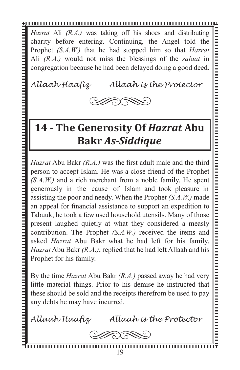*Hazrat* Ali *(R.A.)* was taking off his shoes and distributing charity before entering. Continuing, the Angel told the Prophet *(S.A.W.)* that he had stopped him so that *Hazrat* Ali *(R.A.)* would not miss the blessings of the *salaat* in congregation because he had been delayed doing a good deed.

*Allaah Haafiz Allaah is the Protector*



### **14 - The Generosity Of** *Hazrat* **Abu Bakr** *As-Siddique*

*Hazrat* Abu Bakr *(R.A.)* was the first adult male and the third person to accept Islam. He was a close friend of the Prophet *(S.A.W.)* and a rich merchant from a noble family. He spent generously in the cause of Islam and took pleasure in assisting the poor and needy. When the Prophet *(S.A.W.)* made an appeal for financial assistance to support an expedition to Tabuuk, he took a few used household utensils. Many of those present laughed quietly at what they considered a measly contribution. The Prophet *(S.A.W.)* received the items and asked *Hazrat* Abu Bakr what he had left for his family. *Hazrat* Abu Bakr *(R.A.)*, replied that he had left Allaah and his Prophet for his family.

By the time *Hazrat* Abu Bakr *(R.A.)* passed away he had very little material things. Prior to his demise he instructed that these should be sold and the receipts therefrom be used to pay any debts he may have incurred.

*Allaah Haafiz Allaah is the Protector*

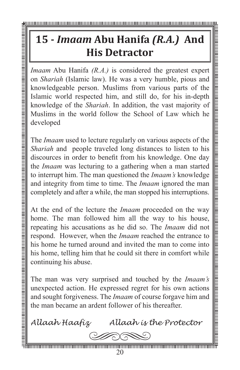# **15 -** *Imaam* **Abu Hanifa** *(R.A.)* **And His Detractor**

*Imaam* Abu Hanifa *(R.A.)* is considered the greatest expert on *Shariah* (Islamic law). He was a very humble, pious and knowledgeable person. Muslims from various parts of the Islamic world respected him, and still do, for his in-depth knowledge of the *Shariah*. In addition, the vast majority of Muslims in the world follow the School of Law which he developed

The *Imaam* used to lecture regularly on various aspects of the *Shariah* and people traveled long distances to listen to his discources in order to benefit from his knowledge. One day the *Imaam* was lecturing to a gathering when a man started to interrupt him. The man questioned the *Imaam's* knowledge and integrity from time to time. The *Imaam* ignored the man completely and after a while, the man stopped his interruptions.

At the end of the lecture the *Imaam* proceeded on the way home. The man followed him all the way to his house, repeating his accusations as he did so. The *Imaam* did not respond. However, when the *Imaam* reached the entrance to his home he turned around and invited the man to come into his home, telling him that he could sit there in comfort while continuing his abuse.

The man was very surprised and touched by the *Imaam's* unexpected action. He expressed regret for his own actions and sought forgiveness. The *Imaam* of course forgave him and the man became an ardent follower of his thereafter.

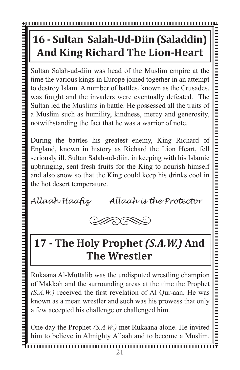# **16 - Sultan Salah-Ud-Diin (Saladdin) And King Richard The Lion-Heart**

Sultan Salah-ud-diin was head of the Muslim empire at the time the various kings in Europe joined together in an attempt to destroy Islam. A number of battles, known as the Crusades, was fought and the invaders were eventually defeated. The Sultan led the Muslims in battle. He possessed all the traits of a Muslim such as humility, kindness, mercy and generosity, notwithstanding the fact that he was a warrior of note.

During the battles his greatest enemy, King Richard of England, known in history as Richard the Lion Heart, fell seriously ill. Sultan Salah-ud-diin, in keeping with his Islamic upbringing, sent fresh fruits for the King to nourish himself and also snow so that the King could keep his drinks cool in the hot desert temperature.

*Allaah Haafiz Allaah is the Protector*



## **17 - The Holy Prophet** *(S.A.W.)* **And The Wrestler**

Rukaana Al-Muttalib was the undisputed wrestling champion of Makkah and the surrounding areas at the time the Prophet *(S.A.W.)* received the first revelation of Al Qur-aan. He was known as a mean wrestler and such was his prowess that only a few accepted his challenge or challenged him.

One day the Prophet *(S.A.W.)* met Rukaana alone. He invited him to believe in Almighty Allaah and to become a Muslim.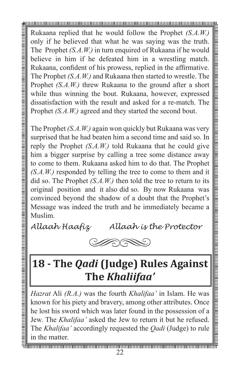Rukaana replied that he would follow the Prophet *(S.A.W.)* only if he believed that what he was saying was the truth. The Prophet *(S.A.W.)* in turn enquired of Rukaana if he would believe in him if he defeated him in a wrestling match. Rukaana, confident of his prowess, replied in the affirmative. The Prophet *(S.A.W.)* and Rukaana then started to wrestle. The Prophet *(S.A.W.)* threw Rukaana to the ground after a short while thus winning the bout. Rukaana, however, expressed dissatisfaction with the result and asked for a re-match. The Prophet *(S.A.W.)* agreed and they started the second bout.

The Prophet *(S.A.W.)* again won quickly but Rukaana was very surprised that he had beaten him a second time and said so. In reply the Prophet *(S.A.W.)* told Rukaana that he could give him a bigger surprise by calling a tree some distance away to come to them. Rukaana asked him to do that. The Prophet *(S.A.W.)* responded by telling the tree to come to them and it did so. The Prophet *(S.A.W.)* then told the tree to return to its original position and it also did so. By now Rukaana was convinced beyond the shadow of a doubt that the Prophet's Message was indeed the truth and he immediately became a Muslim.

*Allaah Haafiz Allaah is the Protector*



## **18 - The** *Qadi* **(Judge) Rules Against The** *Khaliifaa'*

*Hazrat* Ali *(R.A.)* was the fourth *Khalifaa'* in Islam. He was known for his piety and bravery, among other attributes. Once he lost his sword which was later found in the possession of a Jew. The *Khalifaa'* asked the Jew to return it but he refused. The *Khalifaa'* accordingly requested the *Qadi* (Judge) to rule in the matter.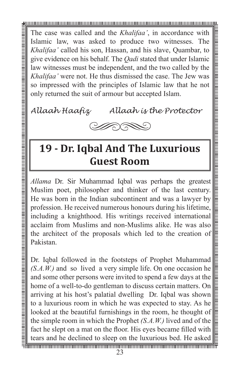The case was called and the *Khalifaa'*, in accordance with Islamic law, was asked to produce two witnesses. The *Khalifaa'* called his son, Hassan, and his slave, Quambar, to give evidence on his behalf. The *Qadi* stated that under Islamic law witnesses must be independent, and the two called by the *Khalifaa'* were not. He thus dismissed the case. The Jew was so impressed with the principles of Islamic law that he not only returned the suit of armour but accepted Islam.

*Allaah Haafiz Allaah is the Protector*



# **19 - Dr. Iqbal And The Luxurious Guest Room**

*Allama* Dr. Sir Muhammad Iqbal was perhaps the greatest Muslim poet, philosopher and thinker of the last century. He was born in the Indian subcontinent and was a lawyer by profession. He received numerous honours during his lifetime, including a knighthood. His writings received international acclaim from Muslims and non-Muslims alike. He was also the architect of the proposals which led to the creation of Pakistan.

<u>том проставления и политических просторования и политических просторования и политических политических просто</u>

Dr. Iqbal followed in the footsteps of Prophet Muhammad *(S.A.W.)* and so lived a very simple life. On one occasion he and some other persons were invited to spend a few days at the home of a well-to-do gentleman to discuss certain matters. On arriving at his host's palatial dwelling Dr. Iqbal was shown to a luxurious room in which he was expected to stay. As he looked at the beautiful furnishings in the room, he thought of the simple room in which the Prophet *(S.A.W.)* lived and of the fact he slept on a mat on the floor. His eyes became filled with tears and he declined to sleep on the luxurious bed. He asked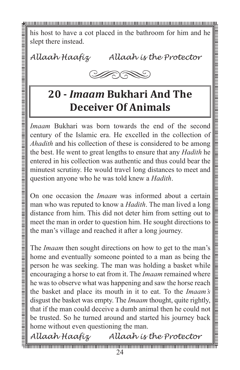his host to have a cot placed in the bathroom for him and he slept there instead.

*Allaah Haafiz Allaah is the Protector*



### **20 -** *Imaam* **Bukhari And The Deceiver Of Animals**

*Imaam* Bukhari was born towards the end of the second century of the Islamic era. He excelled in the collection of *Ahadith* and his collection of these is considered to be among the best. He went to great lengths to ensure that any *Hadith* he entered in his collection was authentic and thus could bear the minutest scrutiny. He would travel long distances to meet and question anyone who he was told knew a *Hadith*.

On one occasion the *Imaam* was informed about a certain man who was reputed to know a *Hadith*. The man lived a long distance from him. This did not deter him from setting out to meet the man in order to question him. He sought directions to the man's village and reached it after a long journey.

The *Imaam* then sought directions on how to get to the man's home and eventually someone pointed to a man as being the person he was seeking. The man was holding a basket while encouraging a horse to eat from it. The *Imaam* remained where he was to observe what was happening and saw the horse reach the basket and place its mouth in it to eat. To the *Imaam's* disgust the basket was empty. The *Imaam* thought, quite rightly, that if the man could deceive a dumb animal then he could not be trusted. So he turned around and started his journey back home without even questioning the man.

*Allaah Haafiz Allaah is the Protector*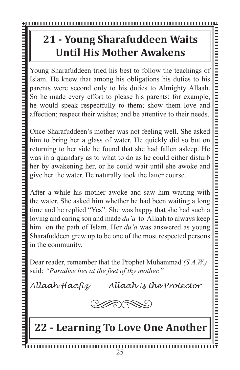# **21 - Young Sharafuddeen Waits Until His Mother Awakens**

Young Sharafuddeen tried his best to follow the teachings of Islam. He knew that among his obligations his duties to his parents were second only to his duties to Almighty Allaah. So he made every effort to please his parents: for example, he would speak respectfully to them; show them love and affection; respect their wishes; and be attentive to their needs.

Once Sharafuddeen's mother was not feeling well. She asked him to bring her a glass of water. He quickly did so but on returning to her side he found that she had fallen asleep. He was in a quandary as to what to do as he could either disturb her by awakening her, or he could wait until she awoke and give her the water. He naturally took the latter course.

After a while his mother awoke and saw him waiting with the water. She asked him whether he had been waiting a long time and he replied "Yes". She was happy that she had such a loving and caring son and made *du'a* to Allaah to always keep him on the path of Islam. Her *du'a* was answered as young Sharafuddeen grew up to be one of the most respected persons in the community.

Dear reader, remember that the Prophet Muhammad *(S.A.W.)* said: *"Paradise lies at the feet of thy mother."*

*Allaah Haafiz Allaah is the Protector*



## **22 - Learning To Love One Another**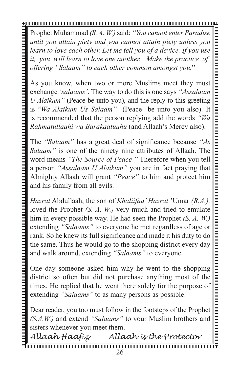Prophet Muhammad *(S. A. W.)* said: *"You cannot enter Paradise until you attain piety and you cannot attain piety unless you learn to love each other. Let me tell you of a device. If you use it, you will learn to love one another. Make the practice of offering "Salaam" to each other common amongst you.*"

As you know, when two or more Muslims meet they must exchange *'salaams'*. The way to do this is one says *"Assalaam U Alaikum"* (Peace be unto you), and the reply to this greeting is "*Wa Alaikum Us Salaam"* (Peace be unto you also). It is recommended that the person replying add the words *"Wa Rahmatullaahi wa Barakaatuuhu* (and Allaah's Mercy also).

The *"Salaam"* has a great deal of significance because *"As Salaam"* is one of the ninety nine attributes of Allaah. The word means *"The Source of Peace"*' Therefore when you tell a person *"Assalaam U Alaikum"* you are in fact praying that Almighty Allaah will grant *"Peace"* to him and protect him and his family from all evils.

*Hazrat* Abdullaah, the son of *Khaliifaa' Hazrat* 'Umar *(R.A.),*  loved the Prophet *(S. A. W.)* very much and tried to emulate him in every possible way. He had seen the Prophet *(S. A. W.)*  extending *"Salaams"* to everyone he met regardless of age or rank. So he knew its full significance and made it his duty to do the same. Thus he would go to the shopping district every day and walk around, extending *"Salaams"* to everyone.

One day someone asked him why he went to the shopping district so often but did not purchase anything most of the times. He replied that he went there solely for the purpose of extending *"Salaams"* to as many persons as possible.

Dear reader, you too must follow in the footsteps of the Prophet *(S.A.W.)* and extend *"Salaams"* to your Muslim brothers and sisters whenever you meet them.

<u>тинантинопология политинопология политинопология политинополитинополитинополитинополитинополитинополитинополит</u> *Allaah Haafiz Allaah is the Protector*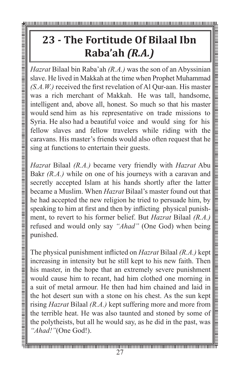# **23 - The Fortitude Of Bilaal Ibn Raba'ah** *(R.A.)*

*Hazrat* Bilaal bin Raba'ah *(R.A.)* was the son of an Abyssinian slave. He lived in Makkah at the time when Prophet Muhammad *(S.A.W.)* received the first revelation of Al Qur-aan. His master was a rich merchant of Makkah. He was tall, handsome, intelligent and, above all, honest. So much so that his master would send him as his representative on trade missions to Syria. He also had a beautiful voice and would sing for his fellow slaves and fellow travelers while riding with the caravans. His master's friends would also often request that he sing at functions to entertain their guests.

*Hazrat* Bilaal *(R.A.)* became very friendly with *Hazrat* Abu Bakr *(R.A.)* while on one of his journeys with a caravan and secretly accepted Islam at his hands shortly after the latter became a Muslim. When *Hazrat* Bilaal's master found out that he had accepted the new religion he tried to persuade him, by speaking to him at first and then by inflicting physical punishment, to revert to his former belief. But *Hazrat* Bilaal *(R.A.)*  refused and would only say *"Ahad"* (One God) when being

**Example 1.1**<br> *Hazrat* Bilaal<br>
slave. He live<br>
(*S.A.W.)* receives a rich r<br>
intelligent and<br>
would send h<br>
Syria. He also<br>
fellow slave:<br>
caravans. His<br>
sing at function<br>
and accep<br>
became a Mu<br>
he had accep<br>
speaking t The physical punishment inflicted on *Hazrat* Bilaal *(R.A.)* kept increasing in intensity but he still kept to his new faith. Then his master, in the hope that an extremely severe punishment would cause him to recant, had him clothed one morning in a suit of metal armour. He then had him chained and laid in the hot desert sun with a stone on his chest. As the sun kept rising *Hazrat* Bilaal *(R.A.)* kept suffering more and more from the terrible heat. He was also taunted and stoned by some of the polytheists, but all he would say, as he did in the past, was *"Ahad!"*(One God!).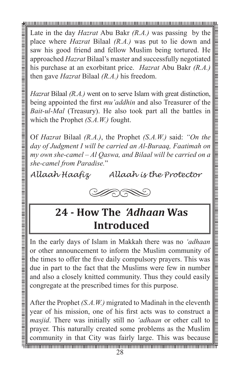Late in the day *Hazrat* Abu Bakr *(R.A.)* was passing by the place where *Hazrat* Bilaal *(R.A.)* was put to lie down and saw his good friend and fellow Muslim being tortured. He approached *Hazrat* Bilaal's master and successfully negotiated his purchase at an exorbitant price. *Hazrat* Abu Bakr *(R.A.)* then gave *Hazrat* Bilaal *(R.A.)* his freedom.

*Hazrat* Bilaal *(R.A.)* went on to serve Islam with great distinction, being appointed the first *mu'addhin* and also Treasurer of the *Bait-ul-Mal* (Treasury). He also took part all the battles in which the Prophet *(S.A.W.)* fought.

Of *Hazrat* Bilaal *(R.A.)*, the Prophet *(S.A.W.)* said: *"On the day of Judgment I will be carried an Al-Buraaq, Faatimah on my own she-camel – Al Qaswa, and Bilaal will be carried on a she-camel from Paradise.*"

*Allaah Haafiz Allaah is the Protector*



### **24 - How The** *'Adhaan* **Was Introduced**

In the early days of Islam in Makkah there was no *'adhaan* or other announcement to inform the Muslim community of the times to offer the five daily compulsory prayers. This was due in part to the fact that the Muslims were few in number and also a closely knitted community. Thus they could easily congregate at the prescribed times for this purpose.

After the Prophet *(S.A.W.)* migrated to Madinah in the eleventh year of his mission, one of his first acts was to construct a *masjid*. There was initially still no *'adhaan* or other call to prayer. This naturally created some problems as the Muslim community in that City was fairly large. This was because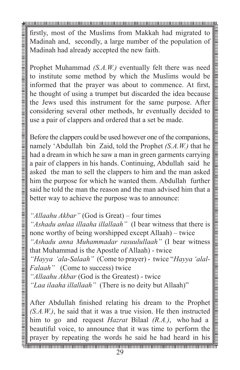firstly, most of the Muslims from Makkah had migrated to Madinah and, secondly, a large number of the population of Madinah had already accepted the new faith.

Prophet Muhammad *(S.A.W.)* eventually felt there was need to institute some method by which the Muslims would be informed that the prayer was about to commence. At first, he thought of using a trumpet but discarded the idea because the Jews used this instrument for the same purpose. After considering several other methods, hr eventually decided to use a pair of clappers and ordered that a set be made.

Before the clappers could be used however one of the companions, namely 'Abdullah bin Zaid, told the Prophet *(S.A.W.)* that he had a dream in which he saw a man in green garments carrying a pair of clappers in his hands. Continuing, Abdullah said he asked the man to sell the clappers to him and the man asked him the purpose for which he wanted them. Abdullah further said he told the man the reason and the man advised him that a better way to achieve the purpose was to announce:

*"Allaahu Akbar"* (God is Great) – four times *"Ashadu anlaa illaaha illallaah"* (I bear witness that there is none worthy of being worshipped except Allaah) – twice *"Ashadu anna Muhammadar rasuulullaah"* (I bear witness that Muhammad is the Apostle of Allaah) - twice *"Hayya 'ala-Salaah"* (Come to prayer) - twice "*Hayya 'alal-Falaah"* (Come to success) twice *"Allaahu Akbar* (God is the Greatest) - twice *"Laa ilaaha illallaah"* (There is no deity but Allaah)"

After Abdullah finished relating his dream to the Prophet *(S.A.W.)*, he said that it was a true vision. He then instructed him to go and request *Hazrat* Bilaal *(R.A.)*, who had a beautiful voice, to announce that it was time to perform the prayer by repeating the words he said he had heard in his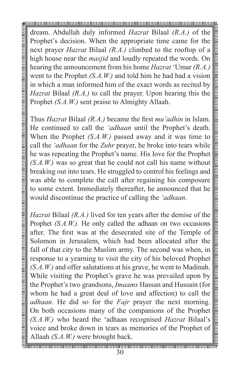dream. Abdullah duly informed *Hazrat* Bilaal *(R.A.)* of the Prophet's decision. When the appropriate time came for the next prayer *Hazrat* Bilaal *(R.A.)* climbed to the rooftop of a high house near the *masjid* and loudly repeated the words. On hearing the announcement from his home *Hazrat* 'Umar *(R.A.)* went to the Prophet *(S.A.W.)* and told him he had had a vision in which a man informed him of the exact words as recited by *Hazrat* Bilaal *(R.A.)* to call the prayer. Upon hearing this the Prophet *(S.A.W.)* sent praise to Almighty Allaah.

Thus *Hazrat* Bilaal *(R.A.)* became the first *mu'adhin* in Islam. He continued to call the *'adhaan* until the Prophet's death. When the Prophet *(S.A.W.)* passed away and it was time to call the *'adhaan* for the *Zuhr* prayer, he broke into tears while he was repeating the Prophet's name. His love for the Prophet *(S.A.W.)* was so great that he could not call his name without breaking out into tears. He struggled to control his feelings and was able to complete the call after regaining his composure to some extent. Immediately thereafter, he announced that he would discontinue the practice of calling the *'adhaan*.

*Hazrat* Bilaal *(R.A.)* lived for ten years after the demise of the Prophet *(S.A.W.)*. He only called the adhaan on two occasions after. The first was at the desecrated site of the Temple of Solomon in Jerusalem, which had been allocated after the fall of that city to the Muslim army. The second was when, in response to a yearning to visit the city of his beloved Prophet *(S.A.W.)* and offer salutations at his grave, he went to Madinah. While visiting the Prophet's grave he was prevailed upon by the Prophet's two grandsons, *Imaams* Hassan and Hussain (for whom he had a great deal of love and affection) to call the *adhaan*. He did so for the *Fajr* prayer the next morning. On both occasions many of the companions of the Prophet *(S.A.W.)* who heard the 'adhaan recognised *Hazrat* Bilaal's voice and broke down in tears as memories of the Prophet of Allaah *(S.A.W.)* were brought back.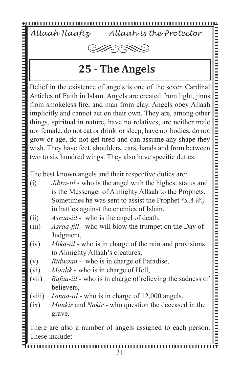*Allaah Haafiz Allaah is the Protector*



### **25 - The Angels**

Belief in the existence of angels is one of the seven Cardinal Articles of Faith in Islam. Angels are created from light, jinns from smokeless fire, and man from clay. Angels obey Allaah implicitly and cannot act on their own. They are, among other things, spiritual in nature, have no relatives, are neither male nor female, do not eat or drink or sleep, have no bodies, do not grow or age, do not get tired and can assume any shape they wish. They have feet, shoulders, ears, hands and from between two to six hundred wings. They also have specific duties.

The best known angels and their respective duties are:

- (i) *Jibra-iil* who is the angel with the highest status and is the Messenger of Almighty Allaah to the Prophets. Sometimes he was sent to assist the Prophet *(S.A.W.)* in battles against the enemies of Islam,
- (ii) *Asraa-iil* who is the angel of death,
- (iii) *Asraa-fiil* who will blow the trumpet on the Day of Judgment,
- (iv) *Mika-iil*  who is in charge of the rain and provisions to Almighty Allaah's creatures,
- (v) *Ridwaan* who is in charge of Paradise,
- (vi) *Maalik* who is in charge of Hell,
- (vii) *Rafaa-iil* who is in charge of relieving the sadness of believers,
- (viii) *Ismaa-iil*  who is in charge of 12,000 angels,
- (ix) *Munkir* and *Nakir* who question the deceased in the grave.

There are also a number of angels assigned to each person. These include: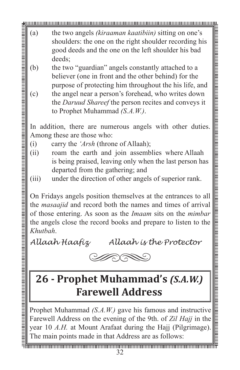- (a) the two angels *(kiraaman kaatibiin)* sitting on one's shoulders: the one on the right shoulder recording his good deeds and the one on the left shoulder his bad deeds;
- (b) the two "guardian" angels constantly attached to a believer (one in front and the other behind) for the purpose of protecting him throughout the his life, and
- (c) the angel near a person's forehead, who writes down the *Daruud Shareef* the person recites and conveys it to Prophet Muhammad *(S.A.W.)*.

In addition, there are numerous angels with other duties. Among these are those who:

- (i) carry the *'Arsh* (throne of Allaah);
- (ii) roam the earth and join assemblies where Allaah is being praised, leaving only when the last person has departed from the gathering; and
- (iii) under the direction of other angels of superior rank.

On Fridays angels position themselves at the entrances to all the *masaajid* and record both the names and times of arrival of those entering. As soon as the *Imaam* sits on the *mimbar*  the angels close the record books and prepare to listen to the *Khutbah*.

*Allaah Haafiz Allaah is the Protector*



# **26 - Prophet Muhammad's** *(S.A.W.)*  **Farewell Address**

Prophet Muhammad *(S.A.W.)* gave his famous and instructive Farewell Address on the evening of the 9th. of *Zil Hajj* in the year 10 *A.H.* at Mount Arafaat during the Hajj (Pilgrimage). The main points made in that Address are as follows: